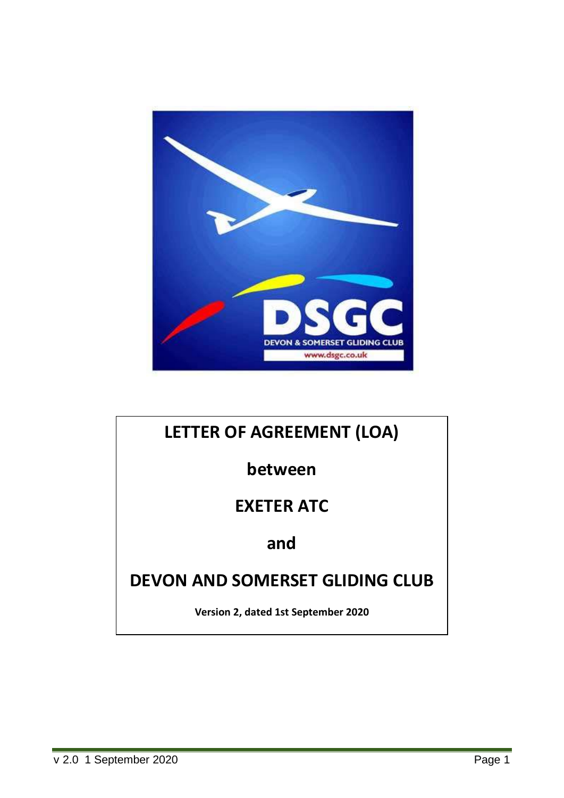

# **LETTER OF AGREEMENT (LOA)**

**between**

## **EXETER ATC**

## **and**

# **DEVON AND SOMERSET GLIDING CLUB**

**Version 2, dated 1st September 2020**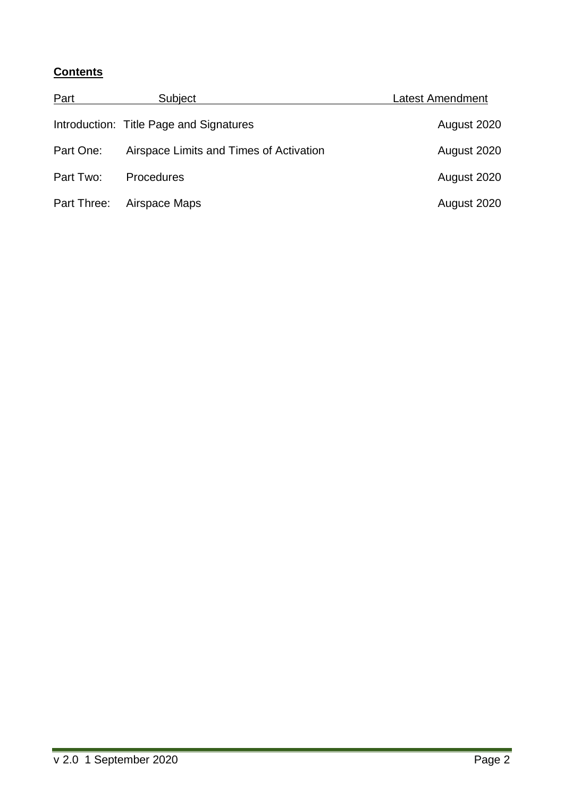## **Contents**

| Part        | Subject                                 | <b>Latest Amendment</b> |
|-------------|-----------------------------------------|-------------------------|
|             | Introduction: Title Page and Signatures | August 2020             |
| Part One:   | Airspace Limits and Times of Activation | August 2020             |
| Part Two:   | <b>Procedures</b>                       | August 2020             |
| Part Three: | Airspace Maps                           | August 2020             |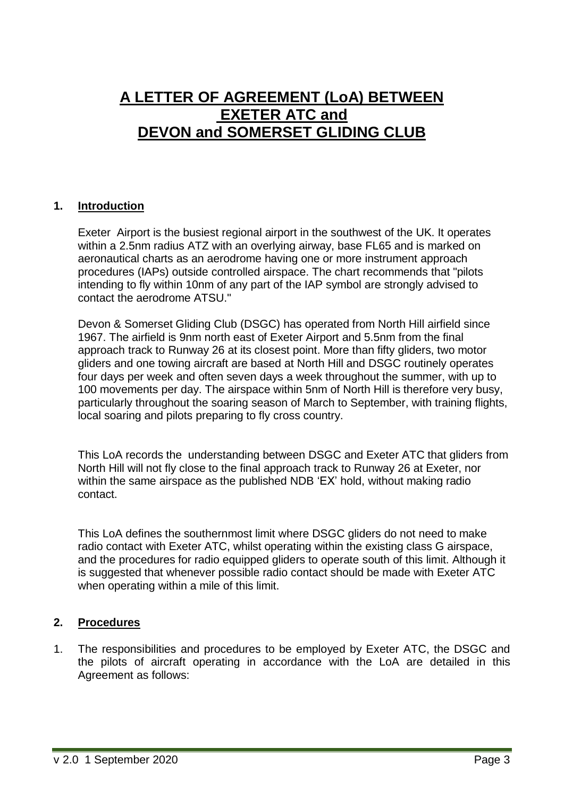## **A LETTER OF AGREEMENT (LoA) BETWEEN EXETER ATC and DEVON and SOMERSET GLIDING CLUB**

#### **1. Introduction**

Exeter Airport is the busiest regional airport in the southwest of the UK. It operates within a 2.5nm radius ATZ with an overlying airway, base FL65 and is marked on aeronautical charts as an aerodrome having one or more instrument approach procedures (IAPs) outside controlled airspace. The chart recommends that "pilots intending to fly within 10nm of any part of the IAP symbol are strongly advised to contact the aerodrome ATSU."

Devon & Somerset Gliding Club (DSGC) has operated from North Hill airfield since 1967. The airfield is 9nm north east of Exeter Airport and 5.5nm from the final approach track to Runway 26 at its closest point. More than fifty gliders, two motor gliders and one towing aircraft are based at North Hill and DSGC routinely operates four days per week and often seven days a week throughout the summer, with up to 100 movements per day. The airspace within 5nm of North Hill is therefore very busy, particularly throughout the soaring season of March to September, with training flights, local soaring and pilots preparing to fly cross country.

This LoA records the understanding between DSGC and Exeter ATC that gliders from North Hill will not fly close to the final approach track to Runway 26 at Exeter, nor within the same airspace as the published NDB 'EX' hold, without making radio contact.

This LoA defines the southernmost limit where DSGC gliders do not need to make radio contact with Exeter ATC, whilst operating within the existing class G airspace, and the procedures for radio equipped gliders to operate south of this limit. Although it is suggested that whenever possible radio contact should be made with Exeter ATC when operating within a mile of this limit.

## **2. Procedures**

1. The responsibilities and procedures to be employed by Exeter ATC, the DSGC and the pilots of aircraft operating in accordance with the LoA are detailed in this Agreement as follows: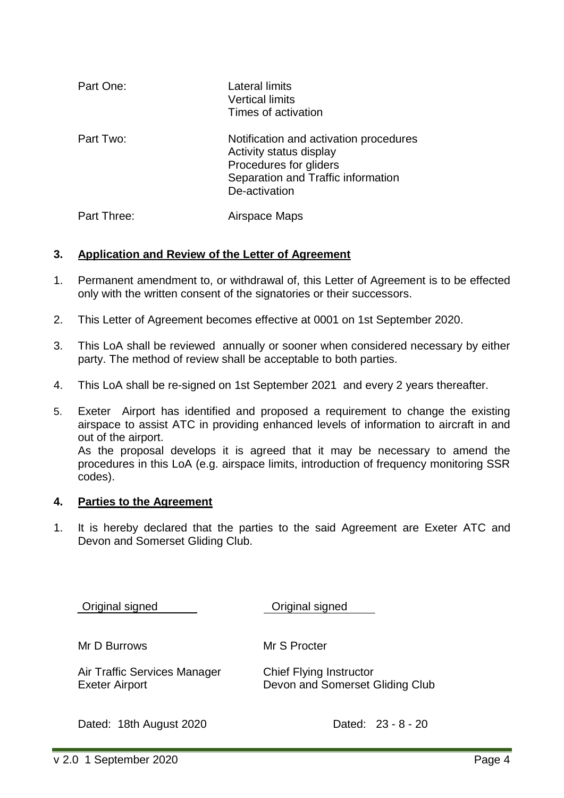| Part One:   | Lateral limits<br><b>Vertical limits</b><br>Times of activation                                                                                    |
|-------------|----------------------------------------------------------------------------------------------------------------------------------------------------|
| Part Two:   | Notification and activation procedures<br>Activity status display<br>Procedures for gliders<br>Separation and Traffic information<br>De-activation |
| Part Three: | Airspace Maps                                                                                                                                      |

#### **3. Application and Review of the Letter of Agreement**

- 1. Permanent amendment to, or withdrawal of, this Letter of Agreement is to be effected only with the written consent of the signatories or their successors.
- 2. This Letter of Agreement becomes effective at 0001 on 1st September 2020.
- 3. This LoA shall be reviewed annually or sooner when considered necessary by either party. The method of review shall be acceptable to both parties.
- 4. This LoA shall be re-signed on 1st September 2021 and every 2 years thereafter.
- 5. Exeter Airport has identified and proposed a requirement to change the existing airspace to assist ATC in providing enhanced levels of information to aircraft in and out of the airport.

As the proposal develops it is agreed that it may be necessary to amend the procedures in this LoA (e.g. airspace limits, introduction of frequency monitoring SSR codes).

#### **4. Parties to the Agreement**

1. It is hereby declared that the parties to the said Agreement are Exeter ATC and Devon and Somerset Gliding Club.

Original signed Original signed

Mr D Burrows Mr S Procter

Air Traffic Services Manager Chief Flying Instructor

Exeter Airport Devon and Somerset Gliding Club

Dated: 18th August 2020 Dated: 23 - 8 - 20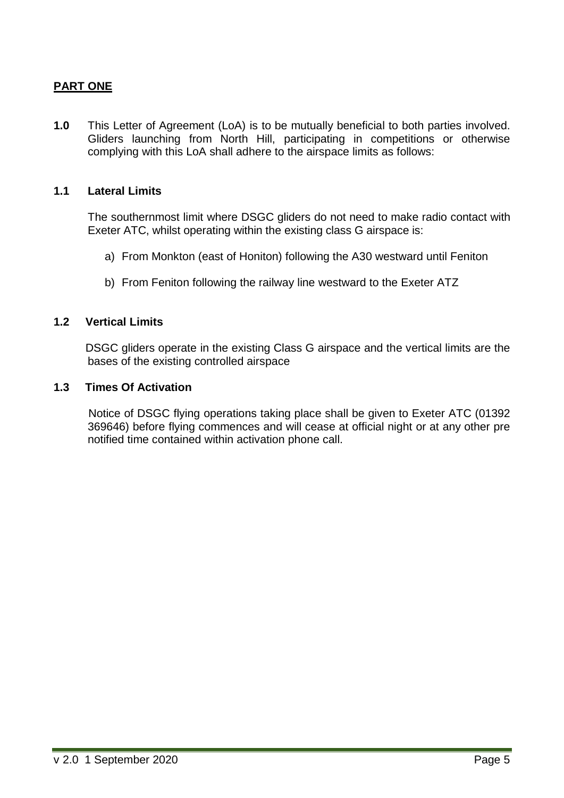## **PART ONE**

**1.0** This Letter of Agreement (LoA) is to be mutually beneficial to both parties involved. Gliders launching from North Hill, participating in competitions or otherwise complying with this LoA shall adhere to the airspace limits as follows:

#### **1.1 Lateral Limits**

The southernmost limit where DSGC gliders do not need to make radio contact with Exeter ATC, whilst operating within the existing class G airspace is:

- a) From Monkton (east of Honiton) following the A30 westward until Feniton
- b) From Feniton following the railway line westward to the Exeter ATZ

#### **1.2 Vertical Limits**

 DSGC gliders operate in the existing Class G airspace and the vertical limits are the bases of the existing controlled airspace

#### **1.3 Times Of Activation**

 Notice of DSGC flying operations taking place shall be given to Exeter ATC (01392 369646) before flying commences and will cease at official night or at any other pre notified time contained within activation phone call.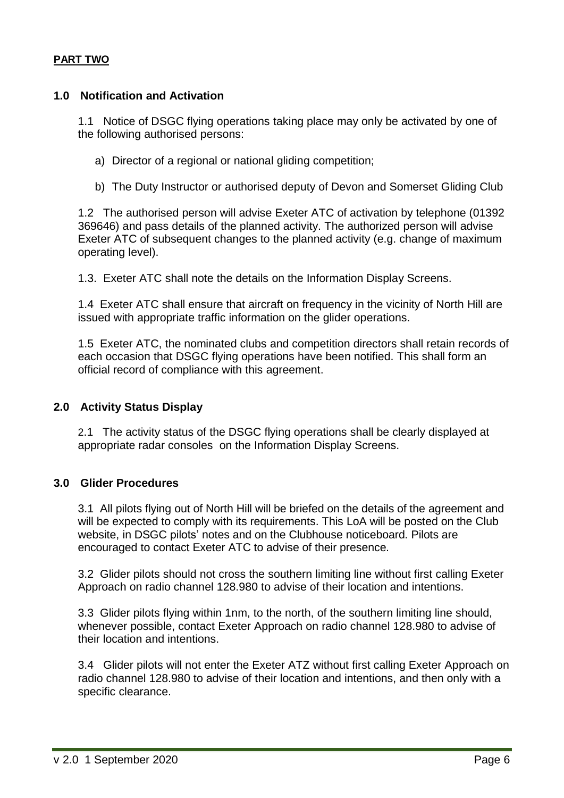#### **PART TWO**

#### **1.0 Notification and Activation**

1.1 Notice of DSGC flying operations taking place may only be activated by one of the following authorised persons:

a) Director of a regional or national gliding competition;

b) The Duty Instructor or authorised deputy of Devon and Somerset Gliding Club

1.2 The authorised person will advise Exeter ATC of activation by telephone (01392 369646) and pass details of the planned activity. The authorized person will advise Exeter ATC of subsequent changes to the planned activity (e.g. change of maximum operating level).

1.3. Exeter ATC shall note the details on the Information Display Screens.

1.4 Exeter ATC shall ensure that aircraft on frequency in the vicinity of North Hill are issued with appropriate traffic information on the glider operations.

1.5 Exeter ATC, the nominated clubs and competition directors shall retain records of each occasion that DSGC flying operations have been notified. This shall form an official record of compliance with this agreement.

#### **2.0 Activity Status Display**

2.1 The activity status of the DSGC flying operations shall be clearly displayed at appropriate radar consoles on the Information Display Screens.

## **3.0 Glider Procedures**

3.1 All pilots flying out of North Hill will be briefed on the details of the agreement and will be expected to comply with its requirements. This LoA will be posted on the Club website, in DSGC pilots' notes and on the Clubhouse noticeboard. Pilots are encouraged to contact Exeter ATC to advise of their presence.

3.2 Glider pilots should not cross the southern limiting line without first calling Exeter Approach on radio channel 128.980 to advise of their location and intentions.

3.3 Glider pilots flying within 1nm, to the north, of the southern limiting line should, whenever possible, contact Exeter Approach on radio channel 128.980 to advise of their location and intentions.

3.4 Glider pilots will not enter the Exeter ATZ without first calling Exeter Approach on radio channel 128.980 to advise of their location and intentions, and then only with a specific clearance.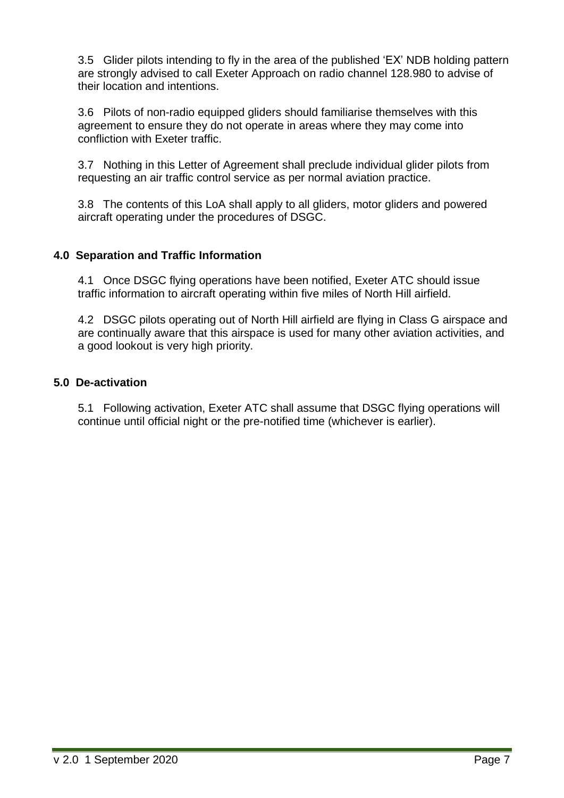3.5 Glider pilots intending to fly in the area of the published 'EX' NDB holding pattern are strongly advised to call Exeter Approach on radio channel 128.980 to advise of their location and intentions.

3.6 Pilots of non-radio equipped gliders should familiarise themselves with this agreement to ensure they do not operate in areas where they may come into confliction with Exeter traffic.

3.7 Nothing in this Letter of Agreement shall preclude individual glider pilots from requesting an air traffic control service as per normal aviation practice.

3.8 The contents of this LoA shall apply to all gliders, motor gliders and powered aircraft operating under the procedures of DSGC.

## **4.0 Separation and Traffic Information**

4.1 Once DSGC flying operations have been notified, Exeter ATC should issue traffic information to aircraft operating within five miles of North Hill airfield.

4.2 DSGC pilots operating out of North Hill airfield are flying in Class G airspace and are continually aware that this airspace is used for many other aviation activities, and a good lookout is very high priority.

## **5.0 De-activation**

5.1 Following activation, Exeter ATC shall assume that DSGC flying operations will continue until official night or the pre-notified time (whichever is earlier).